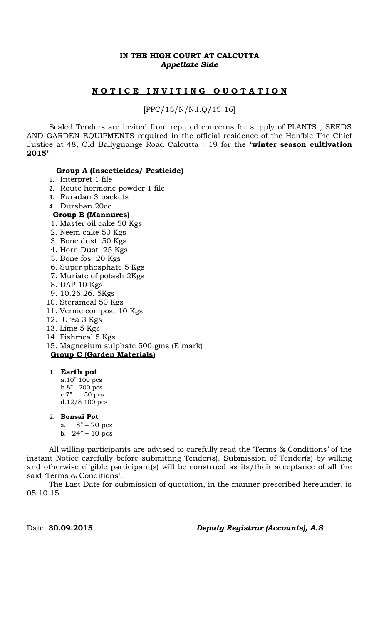# **IN THE HIGH COURT AT CALCUTTA** *Appellate Side*

# **N O T I C E I N V I T I N G Q U O T A T I O N**

[PPC/15/N/N.I.Q/15-16]

Sealed Tenders are invited from reputed concerns for supply of PLANTS , SEEDS AND GARDEN EQUIPMENTS required in the official residence of the Hon'ble The Chief Justice at 48, Old Ballyguange Road Calcutta - 19 for the **'winter season cultivation 2015'**.

#### **Group A (Insecticides/ Pesticide)**

- 1. Interpret 1 file
- 2. Route hormone powder 1 file
- 3. Furadan 3 packets
- 4. Dursban 20ec

# **Group B (Mannures)**

- 1. Master oil cake 50 Kgs
- 2. Neem cake 50 Kgs
- 3. Bone dust 50 Kgs
- 4. Horn Dust 25 Kgs
- 5. Bone fos 20 Kgs
- 6. Super phosphate 5 Kgs
- 7. Muriate of potash 2Kgs
- 8. DAP 10 Kgs
- 9. 10.26.26. 5Kgs
- 10. Sterameal 50 Kgs
- 11. Verme compost 10 Kgs
- 12. Urea 3 Kgs
- 13. Lime 5 Kgs
- 14. Fishmeal 5 Kgs
- 15. Magnesium sulphate 500 gms (E mark) **Group C (Garden Materials)**
- 1. **Earth pot**

a.10" 100 pcs b.8" 200 pcs c.7" 50 pcs d.12/8 100 pcs

- 2. **Bonsai Pot**
	- a. 18" 20 pcs
	- b.  $24" 10$  pcs

All willing participants are advised to carefully read the 'Terms & Conditions' of the instant Notice carefully before submitting Tender(s). Submission of Tender(s) by willing and otherwise eligible participant(s) will be construed as its/their acceptance of all the said 'Terms & Conditions'.

The Last Date for submission of quotation, in the manner prescribed hereunder, is 05.10.15

#### Date: **30.09.2015** *Deputy Registrar (Accounts), A.S*